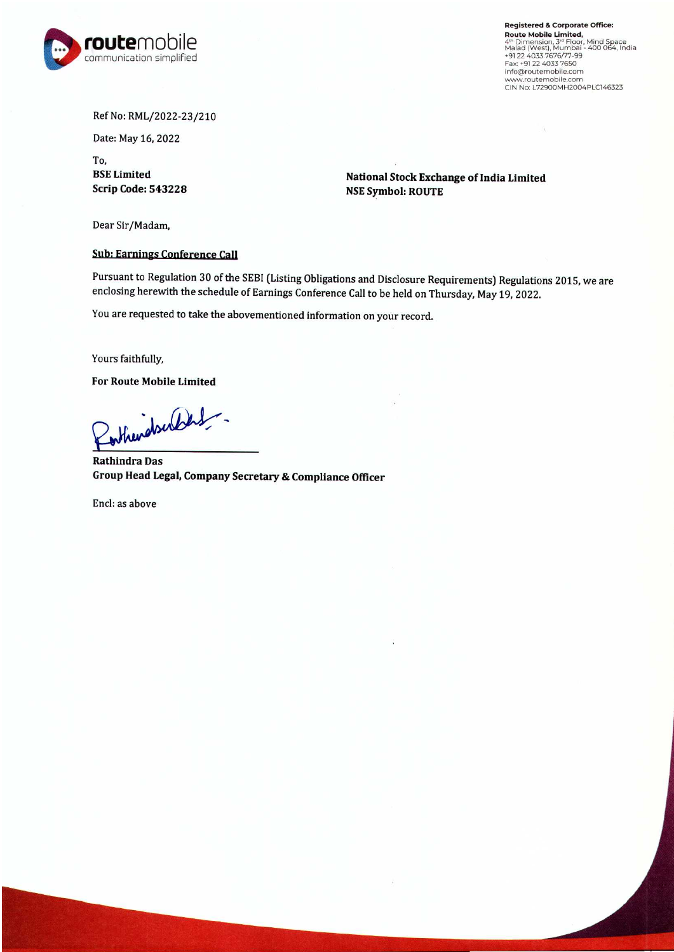

Registered & Corporate Office: Route Mobile Limited,<br>
4<sup>th</sup> Dimension, 3" Floor, Mind Space<br>
Malad (West), Mumbai - 400 064, Indi<br>
+91 22 4033 7676/77-99<br>
Fax: +91 22 4033 7650<br>
Fax: +91 22 4033 7650<br>
fax: +91 22 4033 7650 MHOGHOLLEHIDDIRE.com<br>www.routemobile.com<br>CIN No: L72900MH2004PLC146323

## Ref No: RML/2022-23/210

Date: May 16, 2022

To, BSE Limited Scrip Code: 543228

National Stock Exchange of India Limited NSE Symbol: ROUTE

Dear Sir/Madam,

## Sub: Earnings Conference Call

Pursuant to Regulation 30 of the SEBI (Listing Obligations and Disclosure Requirements) Regulations 2015, we are enclosing herewith the schedule of Earnings Conference Call to be held on Thursday, May 19, 2022.

You are requested to take the abovementioned information on your record.

Yours faithfully,

For Route Mobile Limited

Rotherdoublet -

Rathindra Das Group Head Legal, Company Secretary & Compliance Officer

Encl: as above